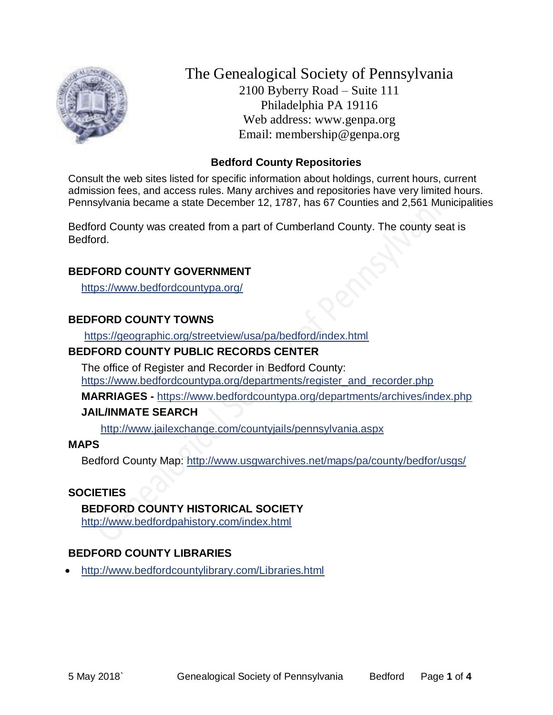

The Genealogical Society of Pennsylvania 2100 Byberry Road – Suite 111 Philadelphia PA 19116 Web address: www.genpa.org Email: membership@genpa.org

## **Bedford County Repositories**

Consult the web sites listed for specific information about holdings, current hours, current admission fees, and access rules. Many archives and repositories have very limited hours. Pennsylvania became a state December 12, 1787, has 67 Counties and 2,561 Municipalities

Bedford County was created from a part of Cumberland County. The county seat is Bedford.

## **BEDFORD COUNTY GOVERNMENT**

<https://www.bedfordcountypa.org/>

## **BEDFORD COUNTY TOWNS**

<https://geographic.org/streetview/usa/pa/bedford/index.html>

## **BEDFORD COUNTY PUBLIC RECORDS CENTER**

The office of Register and Recorder in Bedford County: [https://www.bedfordcountypa.org/departments/register\\_and\\_recorder.php](https://www.bedfordcountypa.org/departments/register_and_recorder.php)

**MARRIAGES -** <https://www.bedfordcountypa.org/departments/archives/index.php>

### **JAIL/INMATE SEARCH**

<http://www.jailexchange.com/countyjails/pennsylvania.aspx>

### **MAPS**

Bedford County Map:<http://www.usgwarchives.net/maps/pa/county/bedfor/usgs/>

### **SOCIETIES**

### **BEDFORD COUNTY HISTORICAL SOCIETY**

<http://www.bedfordpahistory.com/index.html>

## **BEDFORD COUNTY LIBRARIES**

<http://www.bedfordcountylibrary.com/Libraries.html>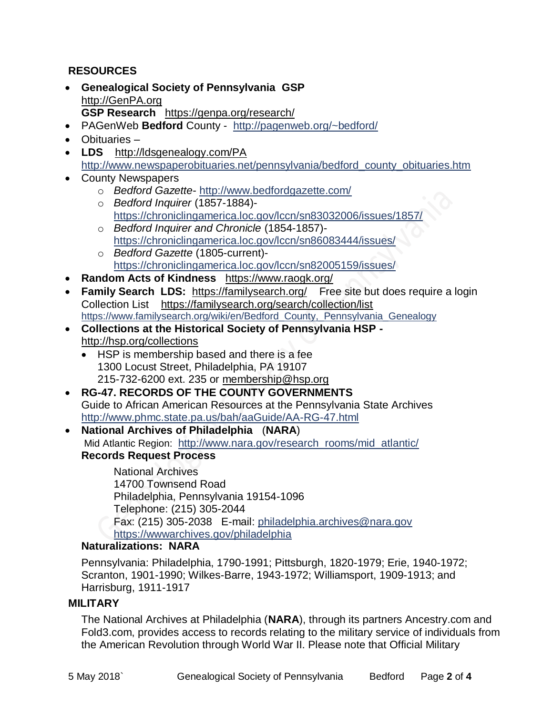## **RESOURCES**

- **Genealogical Society of Pennsylvania GSP** [http://GenPA.org](http://genpa.org/) **GSP Research** <https://genpa.org/research/>
- PAGenWeb **Bedford** County <http://pagenweb.org/~bedford/>
- Obituaries –
- **LDS** <http://ldsgenealogy.com/PA> [http://www.newspaperobituaries.net/pennsylvania/bedford\\_county\\_obituaries.htm](http://www.newspaperobituaries.net/pennsylvania/bedford_county_obituaries.htm)
- County Newspapers
	- o *Bedford Gazette* <http://www.bedfordgazette.com/>
	- o *Bedford Inquirer* (1857-1884) <https://chroniclingamerica.loc.gov/lccn/sn83032006/issues/1857/>
	- o *Bedford Inquirer and Chronicle* (1854-1857) <https://chroniclingamerica.loc.gov/lccn/sn86083444/issues/>
	- o *Bedford Gazette* (1805-current) <https://chroniclingamerica.loc.gov/lccn/sn82005159/issues/>
- **Random Acts of Kindness** <https://www.raogk.org/>
- Family Search LDS: <https://familysearch.org/>Free site but does require a login Collection List <https://familysearch.org/search/collection/list> [https://www.familysearch.org/wiki/en/Bedford\\_County,\\_Pennsylvania\\_Genealogy](https://www.familysearch.org/wiki/en/Bedford_County,_Pennsylvania_Genealogy)
- **Collections at the Historical Society of Pennsylvania HSP**  <http://hsp.org/collections>
	- HSP is membership based and there is a fee 1300 Locust Street, Philadelphia, PA 19107 215-732-6200 ext. 235 or [membership@hsp.org](mailto:membership@hsp.org)
- **RG-47. RECORDS OF THE COUNTY GOVERNMENTS** Guide to African American Resources at the Pennsylvania State Archives <http://www.phmc.state.pa.us/bah/aaGuide/AA-RG-47.html>
- **National Archives of Philadelphia** (**NARA**) Mid Atlantic Region: [http://www.nara.gov/research\\_rooms/mid\\_atlantic/](http://www.nara.gov/research_rooms/mid_atlantic/) **Records Request Process**

National Archives 14700 Townsend Road Philadelphia, Pennsylvania 19154-1096 Telephone: (215) 305-2044 Fax: (215) 305-2038 E-mail: [philadelphia.archives@nara.gov](mailto:philadelphia.archives@nara.gov) <https://wwwarchives.gov/philadelphia>

### **Naturalizations: NARA**

Pennsylvania: Philadelphia, 1790-1991; Pittsburgh, 1820-1979; Erie, 1940-1972; Scranton, 1901-1990; Wilkes-Barre, 1943-1972; Williamsport, 1909-1913; and Harrisburg, 1911-1917

### **MILITARY**

The National Archives at Philadelphia (**NARA**), through its partners Ancestry.com and Fold3.com, provides access to records relating to the military service of individuals from the American Revolution through World War II. Please note that Official Military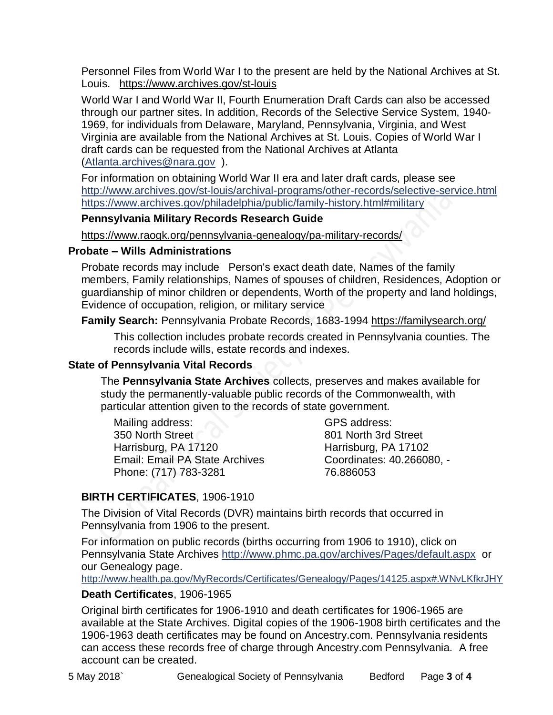Personnel Files from World War I to the present are held by the National Archives at St. Louis. <https://www.archives.gov/st-louis>

World War I and World War II, Fourth Enumeration Draft Cards can also be accessed through our partner sites. In addition, Records of the Selective Service System, 1940- 1969, for individuals from Delaware, Maryland, Pennsylvania, Virginia, and West Virginia are available from the National Archives at St. Louis. Copies of World War I draft cards can be requested from the National Archives at Atlanta [\(Atlanta.archives@nara.gov](mailto:Atlanta.archives@nara.gov) ).

For information on obtaining World War II era and later draft cards, please see <http://www.archives.gov/st-louis/archival-programs/other-records/selective-service.html> <https://www.archives.gov/philadelphia/public/family-history.html#military>

## **Pennsylvania Military Records Research Guide**

<https://www.raogk.org/pennsylvania-genealogy/pa-military-records/>

### **Probate – Wills Administrations**

Probate records may include Person's exact death date, Names of the family members, Family relationships, Names of spouses of children, Residences, Adoption or guardianship of minor children or dependents, Worth of the property and land holdings, Evidence of occupation, religion, or military service

**Family Search:** Pennsylvania Probate Records, 1683-1994 <https://familysearch.org/>

This collection includes probate records created in Pennsylvania counties. The records include wills, estate records and indexes.

## **State of Pennsylvania Vital Records**

The **Pennsylvania State Archives** collects, preserves and makes available for study the permanently-valuable public records of the Commonwealth, with particular attention given to the records of state government.

Mailing address: 350 North Street Harrisburg, PA 17120 Email: Email PA State Archives Phone: (717) 783-3281

GPS address: 801 North 3rd Street Harrisburg, PA 17102 Coordinates: 40.266080, - 76.886053

## **BIRTH CERTIFICATES**, 1906-1910

The Division of Vital Records (DVR) maintains birth records that occurred in Pennsylvania from 1906 to the present.

For information on public records (births occurring from 1906 to 1910), click on Pennsylvania State Archives <http://www.phmc.pa.gov/archives/Pages/default.aspx>or our Genealogy page.

<http://www.health.pa.gov/MyRecords/Certificates/Genealogy/Pages/14125.aspx#.WNvLKfkrJHY>

## **Death Certificates**, 1906-1965

Original birth certificates for 1906-1910 and death certificates for 1906-1965 are available at the State Archives. Digital copies of the 1906-1908 birth certificates and the 1906-1963 death certificates may be found on Ancestry.com. Pennsylvania residents can access these records free of charge through Ancestry.com Pennsylvania. A free account can be created.